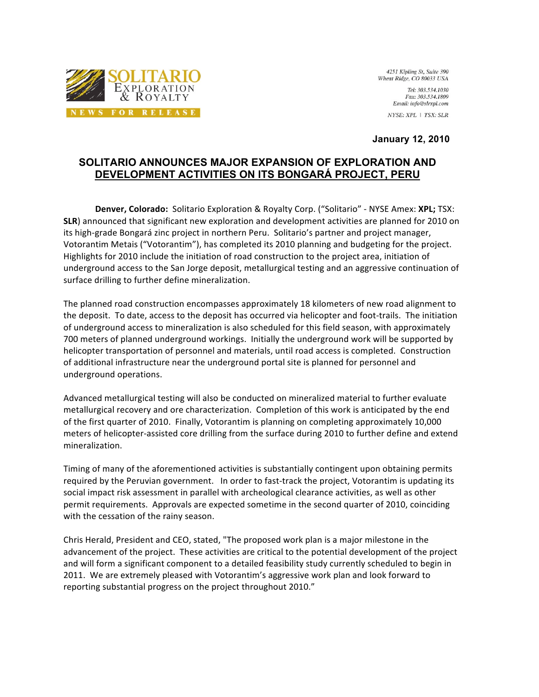

4251 Kipling St, Suite 390 Wheat Ridge, CO 80033 USA

> Tel: 303,534,1030 Fax: 303.534.1809 Email: info@slrxpl.com

NYSE: XPL | TSX: SLR

**January 12, 2010**

# **SOLITARIO ANNOUNCES MAJOR EXPANSION OF EXPLORATION AND DEVELOPMENT ACTIVITIES ON ITS BONGARÁ PROJECT, PERU**

**Denver, Colorado:** Solitario Exploration & Royalty Corp. ("Solitario" - NYSE Amex: XPL; TSX: **SLR**) announced that significant new exploration and development activities are planned for 2010 on its high-grade Bongará zinc project in northern Peru. Solitario's partner and project manager, Votorantim Metais ("Votorantim"), has completed its 2010 planning and budgeting for the project. Highlights for 2010 include the initiation of road construction to the project area, initiation of underground access to the San Jorge deposit, metallurgical testing and an aggressive continuation of surface
drilling
to
further
define
mineralization.

The planned road construction encompasses approximately 18 kilometers of new road alignment to the deposit. To date, access to the deposit has occurred via helicopter and foot-trails. The initiation of
underground
access
to
mineralization
is
also
scheduled
for
this
field
season,
with
approximately 700 meters of planned underground workings. Initially the underground work will be supported by helicopter transportation of personnel and materials, until road access is completed. Construction of
additional
infrastructure
near
the
underground
portal
site
is
planned
for
personnel
and underground
operations.

Advanced metallurgical testing will also be conducted on mineralized material to further evaluate metallurgical recovery and ore characterization. Completion of this work is anticipated by the end of
the
first
quarter
of
2010.

Finally,
Votorantim
is
planning
on
completing
approximately
10,000 meters of helicopter-assisted core drilling from the surface during 2010 to further define and extend mineralization.

Timing
of
many
of
the
aforementioned
activities
is
substantially
contingent
upon
obtaining
permits required by the Peruvian government. In order to fast-track the project, Votorantim is updating its social impact risk assessment in parallel with archeological clearance activities, as well as other permit requirements. Approvals are expected sometime in the second quarter of 2010, coinciding with the cessation of the rainy season.

Chris Herald, President and CEO, stated, "The proposed work plan is a major milestone in the advancement of the project. These activities are critical to the potential development of the project and will form a significant component to a detailed feasibility study currently scheduled to begin in 2011. We are extremely pleased with Votorantim's aggressive work plan and look forward to reporting substantial progress on the project throughout 2010."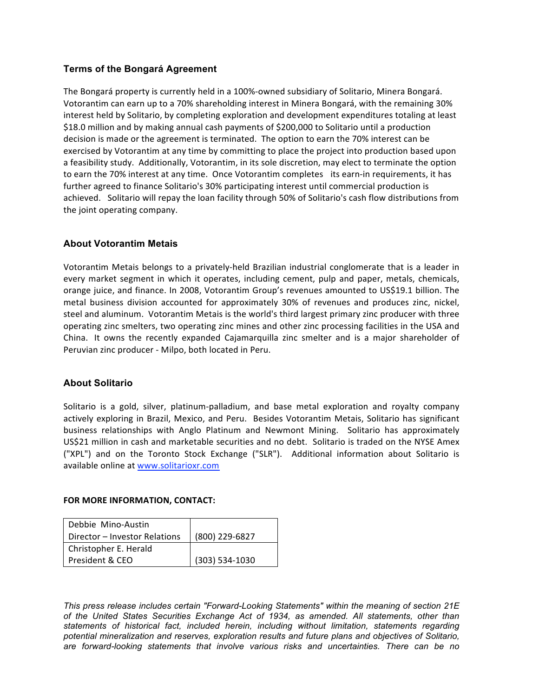# **Terms of the Bongará Agreement**

The Bongará property is currently held in a 100%-owned subsidiary of Solitario, Minera Bongará. Votorantim can earn up to a 70% shareholding interest in Minera Bongará, with the remaining 30% interest
held
by
Solitario,
by
completing
exploration
and
development
expenditures
totaling
at
least \$18.0 million and by making annual cash payments of \$200,000 to Solitario until a production decision
is
made
or
the
agreement
is
terminated.

The
option
to
earn
the
70%
interest
can
be exercised by Votorantim at any time by committing to place the project into production based upon a feasibility study. Additionally, Votorantim, in its sole discretion, may elect to terminate the option to earn the 70% interest at any time. Once Votorantim completes its earn-in requirements, it has further agreed to finance Solitario's 30% participating interest until commercial production is achieved. Solitario will repay the loan facility through 50% of Solitario's cash flow distributions from the
joint
operating
company.

# **About Votorantim Metais**

Votorantim Metais belongs to a privately-held Brazilian industrial conglomerate that is a leader in every market segment in which it operates, including cement, pulp and paper, metals, chemicals, orange juice, and finance. In 2008, Votorantim Group's revenues amounted to US\$19.1 billion. The metal business division accounted for approximately 30% of revenues and produces zinc, nickel, steel and aluminum. Votorantim Metais is the world's third largest primary zinc producer with three operating zinc smelters, two operating zinc mines and other zinc processing facilities in the USA and China. It owns the recently expanded Cajamarquilla zinc smelter and is a major shareholder of Peruvian zinc producer - Milpo, both located in Peru.

### **About Solitario**

Solitario is a gold, silver, platinum-palladium, and base metal exploration and royalty company actively exploring in Brazil, Mexico, and Peru. Besides Votorantim Metais, Solitario has significant business relationships with Anglo Platinum and Newmont Mining. Solitario has approximately US\$21 million in cash and marketable securities and no debt. Solitario is traded on the NYSE Amex ("XPL")
 and
 on
 the
 Toronto
 Stock
 Exchange
 ("SLR").

 Additional
 information
 about
 Solitario
 is available
online
at
www.solitarioxr.com

### **FOR
MORE
INFORMATION,
CONTACT:**

| Debbie Mino-Austin            |                |
|-------------------------------|----------------|
| Director - Investor Relations | (800) 229-6827 |
| Christopher E. Herald         |                |
| President & CEO               | (303) 534-1030 |

*This press release includes certain "Forward-Looking Statements" within the meaning of section 21E of the United States Securities Exchange Act of 1934, as amended. All statements, other than statements of historical fact, included herein, including without limitation, statements regarding potential mineralization and reserves, exploration results and future plans and objectives of Solitario, are forward-looking statements that involve various risks and uncertainties. There can be no*